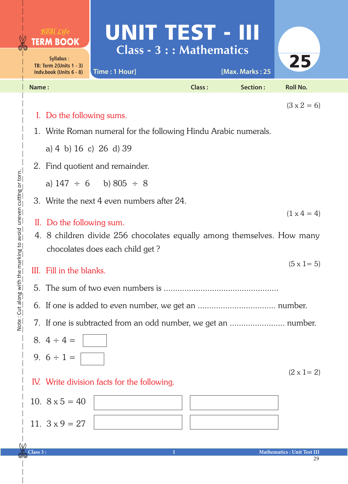